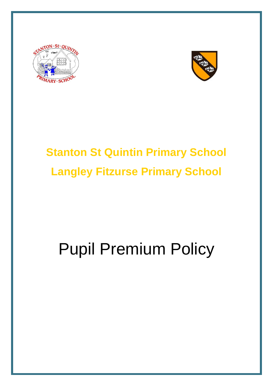



## **Stanton St Quintin Primary School Langley Fitzurse Primary School**

# Pupil Premium Policy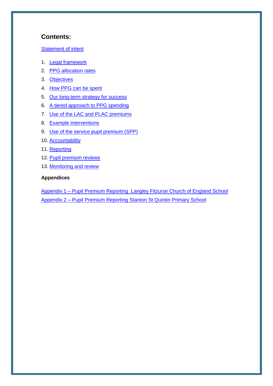#### **Contents:**

#### [Statement of intent](#page-2-0)

- 1. [Legal framework](#page-3-0)
- 2. [PPG allocation rates](#page-3-1)
- 3. [Objectives](#page-3-2)
- 4. [How PPG can be spent](#page-4-0)
- 5. [Our long-term strategy for success](#page-4-1)
- 6. [A tiered approach to PPG spending](#page-6-0)
- 7. [Use of the LAC and PLAC premiums](#page-6-1)
- 8. [Example interventions](#page-7-0)
- 9. [Use of the service pupil premium \(SPP\)](#page-7-1)
- 10. [Accountability](#page-8-0)
- 11. [Reporting](#page-9-0)
- 12. [Pupil premium reviews](#page-9-1)
- 13. [Monitoring and review](#page-10-0)

#### **Appendices**

Appendix 1 – [Pupil Premium Reporting Langley Fitzurse Church of England School](#page-11-0) Appendix 2 – [Pupil Premium Reporting Stanton St Quintin Primary School](#page-11-0)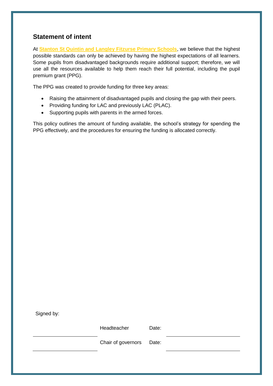## <span id="page-2-0"></span>**Statement of intent**

At **Stanton St Quintin and Langley Fitzurse Primary Schools**, we believe that the highest possible standards can only be achieved by having the highest expectations of all learners. Some pupils from disadvantaged backgrounds require additional support; therefore, we will use all the resources available to help them reach their full potential, including the pupil premium grant (PPG).

The PPG was created to provide funding for three key areas:

- Raising the attainment of disadvantaged pupils and closing the gap with their peers.
- Providing funding for LAC and previously LAC (PLAC).
- Supporting pupils with parents in the armed forces.

This policy outlines the amount of funding available, the school's strategy for spending the PPG effectively, and the procedures for ensuring the funding is allocated correctly.

Signed by:

Headteacher Date:

Chair of governors Date: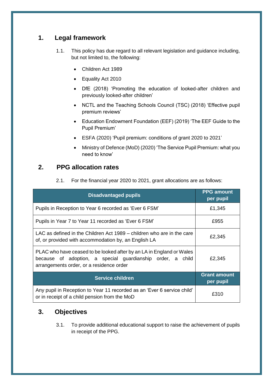## <span id="page-3-0"></span>**1. Legal framework**

- 1.1. This policy has due regard to all relevant legislation and guidance including, but not limited to, the following:
	- Children Act 1989
	- Equality Act 2010
	- DfE (2018) 'Promoting the education of looked-after children and previously looked-after children'
	- NCTL and the Teaching Schools Council (TSC) (2018) 'Effective pupil premium reviews'
	- Education Endowment Foundation (EEF) (2019) 'The EEF Guide to the Pupil Premium'
	- ESFA (2020) 'Pupil premium: conditions of grant 2020 to 2021'
	- Ministry of Defence (MoD) (2020) 'The Service Pupil Premium: what you need to know'

## **2. PPG allocation rates**

<span id="page-3-1"></span>

| 2.1. |  | For the financial year 2020 to 2021, grant allocations are as follows: |  |
|------|--|------------------------------------------------------------------------|--|
|      |  |                                                                        |  |

| <b>Disadvantaged pupils</b>                                                                                                                                                    | <b>PPG</b> amount<br>per pupil   |
|--------------------------------------------------------------------------------------------------------------------------------------------------------------------------------|----------------------------------|
| Pupils in Reception to Year 6 recorded as 'Ever 6 FSM'                                                                                                                         | £1,345                           |
| Pupils in Year 7 to Year 11 recorded as 'Ever 6 FSM'                                                                                                                           | £955                             |
| LAC as defined in the Children Act 1989 – children who are in the care<br>of, or provided with accommodation by, an English LA                                                 | £2,345                           |
| PLAC who have ceased to be looked after by an LA in England or Wales<br>because of adoption, a special guardianship order, a child<br>arrangements order, or a residence order | £2,345                           |
| <b>Service children</b>                                                                                                                                                        | <b>Grant amount</b><br>per pupil |
| Any pupil in Reception to Year 11 recorded as an 'Ever 6 service child'<br>or in receipt of a child pension from the MoD                                                       | £310                             |

## <span id="page-3-2"></span>**3. Objectives**

3.1. To provide additional educational support to raise the achievement of pupils in receipt of the PPG.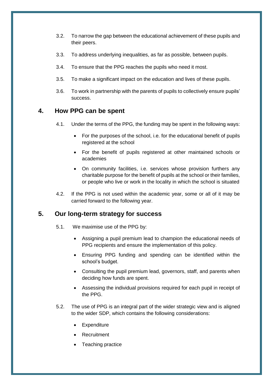- 3.2. To narrow the gap between the educational achievement of these pupils and their peers.
- 3.3. To address underlying inequalities, as far as possible, between pupils.
- 3.4. To ensure that the PPG reaches the pupils who need it most.
- 3.5. To make a significant impact on the education and lives of these pupils.
- 3.6. To work in partnership with the parents of pupils to collectively ensure pupils' success.

#### <span id="page-4-0"></span>**4. How PPG can be spent**

- 4.1. Under the terms of the PPG, the funding may be spent in the following ways:
	- For the purposes of the school, i.e. for the educational benefit of pupils registered at the school
	- For the benefit of pupils registered at other maintained schools or academies
	- On community facilities, i.e. services whose provision furthers any charitable purpose for the benefit of pupils at the school or their families, or people who live or work in the locality in which the school is situated
- 4.2. If the PPG is not used within the academic year, some or all of it may be carried forward to the following year.

#### <span id="page-4-1"></span>**5. Our long-term strategy for success**

- 5.1. We maximise use of the PPG by:
	- Assigning a pupil premium lead to champion the educational needs of PPG recipients and ensure the implementation of this policy.
	- Ensuring PPG funding and spending can be identified within the school's budget.
	- Consulting the pupil premium lead, governors, staff, and parents when deciding how funds are spent.
	- Assessing the individual provisions required for each pupil in receipt of the PPG.
- 5.2. The use of PPG is an integral part of the wider strategic view and is aligned to the wider SDP, which contains the following considerations:
	- Expenditure
	- Recruitment
	- Teaching practice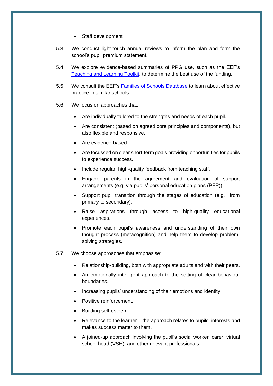- Staff development
- 5.3. We conduct light-touch annual reviews to inform the plan and form the school's pupil premium statement.
- 5.4. We explore evidence-based summaries of PPG use, such as the EEF's [Teaching and Learning Toolkit,](https://educationendowmentfoundation.org.uk/evidence-summaries/teaching-learning-toolkit) to determine the best use of the funding.
- 5.5. We consult the EEF's [Families of Schools Database](https://educationendowmentfoundation.org.uk/tools/families-of-schools-database) to learn about effective practice in similar schools.
- 5.6. We focus on approaches that:
	- Are individually tailored to the strengths and needs of each pupil.
	- Are consistent (based on agreed core principles and components), but also flexible and responsive.
	- Are evidence-based.
	- Are focussed on clear short-term goals providing opportunities for pupils to experience success.
	- Include regular, high-quality feedback from teaching staff.
	- Engage parents in the agreement and evaluation of support arrangements (e.g. via pupils' personal education plans (PEP)).
	- Support pupil transition through the stages of education (e.g. from primary to secondary).
	- Raise aspirations through access to high-quality educational experiences.
	- Promote each pupil's awareness and understanding of their own thought process (metacognition) and help them to develop problemsolving strategies.
- 5.7. We choose approaches that emphasise:
	- Relationship-building, both with appropriate adults and with their peers.
	- An emotionally intelligent approach to the setting of clear behaviour boundaries.
	- Increasing pupils' understanding of their emotions and identity.
	- Positive reinforcement.
	- Building self-esteem.
	- Relevance to the learner the approach relates to pupils' interests and makes success matter to them.
	- A joined-up approach involving the pupil's social worker, carer, virtual school head (VSH), and other relevant professionals.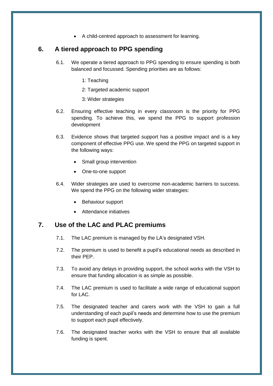A child-centred approach to assessment for learning.

#### <span id="page-6-0"></span>**6. A tiered approach to PPG spending**

- 6.1. We operate a tiered approach to PPG spending to ensure spending is both balanced and focussed. Spending priorities are as follows:
	- 1: Teaching
	- 2: Targeted academic support
	- 3: Wider strategies
- 6.2. Ensuring effective teaching in every classroom is the priority for PPG spending. To achieve this, we spend the PPG to support profession development
- 6.3. Evidence shows that targeted support has a positive impact and is a key component of effective PPG use. We spend the PPG on targeted support in the following ways:
	- Small group intervention
	- One-to-one support
- 6.4. Wider strategies are used to overcome non-academic barriers to success. We spend the PPG on the following wider strategies:
	- Behaviour support
	- Attendance initiatives

#### <span id="page-6-1"></span>**7. Use of the LAC and PLAC premiums**

- 7.1. The LAC premium is managed by the LA's designated VSH.
- 7.2. The premium is used to benefit a pupil's educational needs as described in their PEP.
- 7.3. To avoid any delays in providing support, the school works with the VSH to ensure that funding allocation is as simple as possible.
- 7.4. The LAC premium is used to facilitate a wide range of educational support for LAC.
- 7.5. The designated teacher and carers work with the VSH to gain a full understanding of each pupil's needs and determine how to use the premium to support each pupil effectively.
- 7.6. The designated teacher works with the VSH to ensure that all available funding is spent.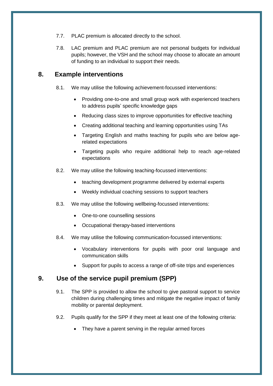- 7.7. PLAC premium is allocated directly to the school.
- 7.8. LAC premium and PLAC premium are not personal budgets for individual pupils; however, the VSH and the school may choose to allocate an amount of funding to an individual to support their needs.

## <span id="page-7-0"></span>**8. Example interventions**

- 8.1. We may utilise the following achievement-focussed interventions:
	- Providing one-to-one and small group work with experienced teachers to address pupils' specific knowledge gaps
	- Reducing class sizes to improve opportunities for effective teaching
	- Creating additional teaching and learning opportunities using TAs
	- Targeting English and maths teaching for pupils who are below agerelated expectations
	- Targeting pupils who require additional help to reach age-related expectations
- 8.2. We may utilise the following teaching-focussed interventions:
	- teaching development programme delivered by external experts
	- Weekly individual coaching sessions to support teachers
- 8.3. We may utilise the following wellbeing-focussed interventions:
	- One-to-one counselling sessions
	- Occupational therapy-based interventions
- 8.4. We may utilise the following communication-focussed interventions:
	- Vocabulary interventions for pupils with poor oral language and communication skills
	- Support for pupils to access a range of off-site trips and experiences

## <span id="page-7-1"></span>**9. Use of the service pupil premium (SPP)**

- 9.1. The SPP is provided to allow the school to give pastoral support to service children during challenging times and mitigate the negative impact of family mobility or parental deployment.
- 9.2. Pupils qualify for the SPP if they meet at least one of the following criteria:
	- They have a parent serving in the regular armed forces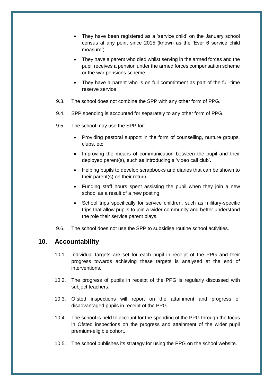- They have been registered as a 'service child' on the January school census at any point since 2015 (known as the 'Ever 6 service child measure')
- They have a parent who died whilst serving in the armed forces and the pupil receives a pension under the armed forces compensation scheme or the war pensions scheme
- They have a parent who is on full commitment as part of the full-time reserve service
- 9.3. The school does not combine the SPP with any other form of PPG.
- 9.4. SPP spending is accounted for separately to any other form of PPG.
- 9.5. The school may use the SPP for:
	- Providing pastoral support in the form of counselling, nurture groups, clubs, etc.
	- Improving the means of communication between the pupil and their deployed parent(s), such as introducing a 'video call club'.
	- Helping pupils to develop scrapbooks and diaries that can be shown to their parent(s) on their return.
	- Funding staff hours spent assisting the pupil when they join a new school as a result of a new posting.
	- School trips specifically for service children, such as military-specific trips that allow pupils to join a wider community and better understand the role their service parent plays.
- 9.6. The school does not use the SPP to subsidise routine school activities.

#### <span id="page-8-0"></span>**10. Accountability**

- 10.1. Individual targets are set for each pupil in receipt of the PPG and their progress towards achieving these targets is analysed at the end of interventions.
- 10.2. The progress of pupils in receipt of the PPG is regularly discussed with subject teachers.
- 10.3. Ofsted inspections will report on the attainment and progress of disadvantaged pupils in receipt of the PPG.
- 10.4. The school is held to account for the spending of the PPG through the focus in Ofsted inspections on the progress and attainment of the wider pupil premium-eligible cohort.
- 10.5. The school publishes its strategy for using the PPG on the school website.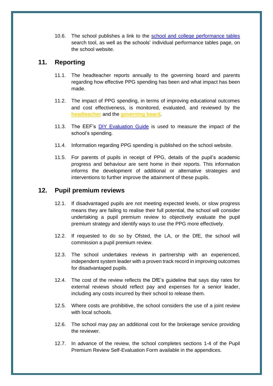10.6. The school publishes a link to the [school and college performance tables](https://www.compare-school-performance.service.gov.uk/) search tool, as well as the schools' individual performance tables page, on the school website.

## <span id="page-9-0"></span>**11. Reporting**

- 11.1. The headteacher reports annually to the governing board and parents regarding how effective PPG spending has been and what impact has been made.
- 11.2. The impact of PPG spending, in terms of improving educational outcomes and cost effectiveness, is monitored, evaluated, and reviewed by the **headteacher** and the **governing board**.
- 11.3. The EEF's [DIY Evaluation Guide](https://educationendowmentfoundation.org.uk/tools/diy-guide/getting-started/) is used to measure the impact of the school's spending.
- 11.4. Information regarding PPG spending is published on the school website.
- 11.5. For parents of pupils in receipt of PPG, details of the pupil's academic progress and behaviour are sent home in their reports. This information informs the development of additional or alternative strategies and interventions to further improve the attainment of these pupils.

## <span id="page-9-1"></span>**12. Pupil premium reviews**

- 12.1. If disadvantaged pupils are not meeting expected levels, or slow progress means they are failing to realise their full potential, the school will consider undertaking a pupil premium review to objectively evaluate the pupil premium strategy and identify ways to use the PPG more effectively.
- 12.2. If requested to do so by Ofsted, the LA, or the DfE, the school will commission a pupil premium review.
- 12.3. The school undertakes reviews in partnership with an experienced, independent system leader with a proven track record in improving outcomes for disadvantaged pupils.
- 12.4. The cost of the review reflects the DfE's guideline that says day rates for external reviews should reflect pay and expenses for a senior leader, including any costs incurred by their school to release them.
- 12.5. Where costs are prohibitive, the school considers the use of a joint review with local schools.
- 12.6. The school may pay an additional cost for the brokerage service providing the reviewer.
- 12.7. In advance of the review, the school completes sections 1-4 of the Pupil Premium Review Self-Evaluation Form available in the appendices.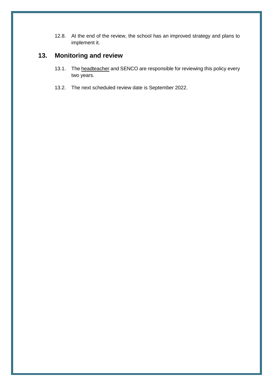12.8. At the end of the review, the school has an improved strategy and plans to implement it.

## <span id="page-10-0"></span>**13. Monitoring and review**

- 13.1. The headteacher and SENCO are responsible for reviewing this policy every two years.
- 13.2. The next scheduled review date is September 2022.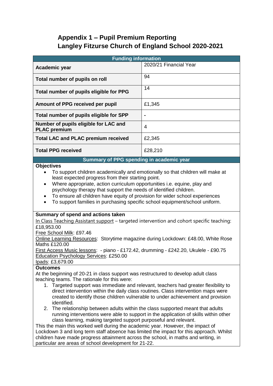## **Appendix 1 – Pupil Premium Reporting Langley Fitzurse Church of England School 2020-2021**

<span id="page-11-0"></span>

| <b>Funding information</b>                                                                                                                                                                                                                                                                                                                                                                                                                                                                                                                                                                                                                                                                                                                                                                                                                                                                                                                                                                                          |                        |  |  |  |
|---------------------------------------------------------------------------------------------------------------------------------------------------------------------------------------------------------------------------------------------------------------------------------------------------------------------------------------------------------------------------------------------------------------------------------------------------------------------------------------------------------------------------------------------------------------------------------------------------------------------------------------------------------------------------------------------------------------------------------------------------------------------------------------------------------------------------------------------------------------------------------------------------------------------------------------------------------------------------------------------------------------------|------------------------|--|--|--|
| Academic year                                                                                                                                                                                                                                                                                                                                                                                                                                                                                                                                                                                                                                                                                                                                                                                                                                                                                                                                                                                                       | 2020/21 Financial Year |  |  |  |
| Total number of pupils on roll                                                                                                                                                                                                                                                                                                                                                                                                                                                                                                                                                                                                                                                                                                                                                                                                                                                                                                                                                                                      | 94                     |  |  |  |
| Total number of pupils eligible for PPG                                                                                                                                                                                                                                                                                                                                                                                                                                                                                                                                                                                                                                                                                                                                                                                                                                                                                                                                                                             | 14                     |  |  |  |
| Amount of PPG received per pupil                                                                                                                                                                                                                                                                                                                                                                                                                                                                                                                                                                                                                                                                                                                                                                                                                                                                                                                                                                                    | £1,345                 |  |  |  |
| Total number of pupils eligible for SPP                                                                                                                                                                                                                                                                                                                                                                                                                                                                                                                                                                                                                                                                                                                                                                                                                                                                                                                                                                             |                        |  |  |  |
| Number of pupils eligible for LAC and<br><b>PLAC</b> premium                                                                                                                                                                                                                                                                                                                                                                                                                                                                                                                                                                                                                                                                                                                                                                                                                                                                                                                                                        | 4                      |  |  |  |
| <b>Total LAC and PLAC premium received</b>                                                                                                                                                                                                                                                                                                                                                                                                                                                                                                                                                                                                                                                                                                                                                                                                                                                                                                                                                                          | £2,345                 |  |  |  |
| <b>Total PPG received</b>                                                                                                                                                                                                                                                                                                                                                                                                                                                                                                                                                                                                                                                                                                                                                                                                                                                                                                                                                                                           | £28,210                |  |  |  |
| Summary of PPG spending in academic year                                                                                                                                                                                                                                                                                                                                                                                                                                                                                                                                                                                                                                                                                                                                                                                                                                                                                                                                                                            |                        |  |  |  |
| To support children academically and emotionally so that children will make at<br>least expected progress from their starting point.<br>Where appropriate, action curriculum opportunities i.e. equine, play and<br>$\bullet$<br>psychology therapy that support the needs of identified children.<br>To ensure all children have equity of provision for wider school experiences<br>To support families in purchasing specific school equipment/school uniform.                                                                                                                                                                                                                                                                                                                                                                                                                                                                                                                                                   |                        |  |  |  |
| Summary of spend and actions taken<br>In Class Teaching Assistant support - targeted intervention and cohort specific teaching:<br>£18,953.00<br>Free School Milk: £97.46<br>Online Learning Resources: Storytime magazine during Lockdown: £48.00, White Rose<br>Maths £120.00<br>First Access Music lessons: - piano - £172.42, drumming - £242.20, Ukulele - £90.75<br>Education Psychology Services: £250.00<br><u>lpads</u> : £3,679.00                                                                                                                                                                                                                                                                                                                                                                                                                                                                                                                                                                        |                        |  |  |  |
| <b>Outcomes</b><br>At the beginning of 20-21 in class support was restructured to develop adult class<br>teaching teams. The rationale for this were:<br>1. Targeted support was immediate and relevant, teachers had greater flexibility to<br>direct intervention within the daily class routines. Class intervention maps were<br>created to identify those children vulnerable to under achievement and provision<br>identified.<br>The relationship between adults within the class supported meant that adults<br>2.<br>running interventions were able to support in the application of skills within other<br>class learning, making targeted support purposeful and relevant.<br>This the main this worked well during the academic year. However, the impact of<br>Lockdown 3 and long term staff absence has limited the impact for this approach. Whilst<br>children have made progress attainment across the school, in maths and writing, in<br>particular are areas of school development for 21-22. |                        |  |  |  |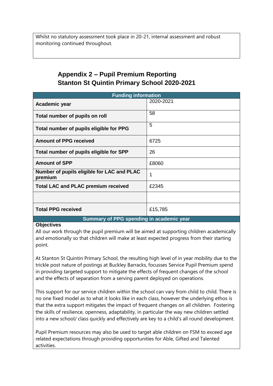Whilst no statutory assessment took place in 20-21, internal assessment and robust monitoring continued throughout.

## **Appendix 2 – Pupil Premium Reporting Stanton St Quintin Primary School 2020-2021**

| <b>Funding information</b>                            |           |  |  |  |
|-------------------------------------------------------|-----------|--|--|--|
| Academic year                                         | 2020-2021 |  |  |  |
| Total number of pupils on roll                        | 58        |  |  |  |
| Total number of pupils eligible for PPG               | 5         |  |  |  |
| <b>Amount of PPG received</b>                         | 6725      |  |  |  |
| Total number of pupils eligible for SPP               | 26        |  |  |  |
| <b>Amount of SPP</b>                                  | £8060     |  |  |  |
| Number of pupils eligible for LAC and PLAC<br>premium | 1         |  |  |  |
| <b>Total LAC and PLAC premium received</b>            | £2345     |  |  |  |
|                                                       |           |  |  |  |
| <b>Total PPG received</b>                             | £15,785   |  |  |  |
| Summary of PPG spending in academic year              |           |  |  |  |

#### **Objectives**

All our work through the pupil premium will be aimed at supporting children academically and emotionally so that children will make at least expected progress from their starting point.

At Stanton St Quintin Primary School, the resulting high level of in year mobility due to the trickle post nature of postings at Buckley Barracks, focusses Service Pupil Premium spend in providing targeted support to mitigate the effects of frequent changes of the school and the effects of separation from a serving parent deployed on operations.

This support for our service children within the school can vary from child to child. There is no one fixed model as to what it looks like in each class, however the underlying ethos is that the extra support mitigates the impact of frequent changes on all children. Fostering the skills of resilience, openness, adaptability, in particular the way new children settled into a new school/ class quickly and effectively are key to a child's all round development.

Pupil Premium resources may also be used to target able children on FSM to exceed age related expectations through providing opportunities for Able, Gifted and Talented activities.